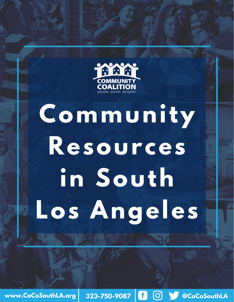

# **Community Resources in South Los Angeles**

**www.CoCoSouthLA.org 323-750-9087 @CoCoSouthLA**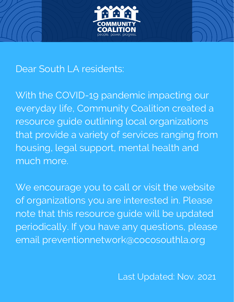

## Dear South LA residents:

With the COVID-19 pandemic impacting our everyday life, Community Coalition created a resource guide outlining local organizations that provide a variety of services ranging from housing, legal support, mental health and much more.

We encourage you to call or visit the website of organizations you are interested in. Please note that this resource guide will be updated periodically. If you have any questions, please email preventionnetwork@cocosouthla.org

Last Updated: Nov. 2021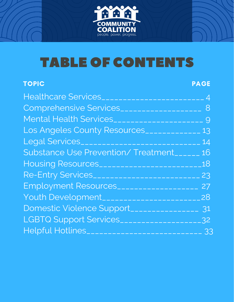

## TABLE OF CONTENTS

| <b>TOPIC</b>                                          | <b>PAGE</b>    |
|-------------------------------------------------------|----------------|
| Healthcare Services                                   | $\overline{4}$ |
| Comprehensive Services____________________ 8          |                |
|                                                       |                |
| Los Angeles County Resources____________              | 13             |
|                                                       | 14             |
| Substance Use Prevention/Treatment______              | 16             |
|                                                       | 18             |
| Re-Entry Services____________________________ 23      |                |
| Employment Resources___________________               | 27             |
|                                                       | 28             |
| Domestic Violence Support________________             | 31             |
| LGBTQ Support Services____________________32          |                |
| Helpful Hotlines__________________________________ 33 |                |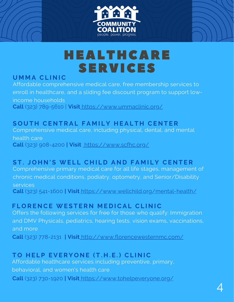



## HEALTHCARE SERVICES

#### **U M M A CL I N IC**

Affordable comprehensive medical care, free membership services to enroll in healthcare, and a sliding fee discount program to support lowincome households **Call** (323) [789-5610](tel:323-789-5610) | **Visit** <https://www.ummaclinic.org/>

#### SOUTH CENTRAL FAMILY HEALTH CENTER

Comprehensive medical care, including physical, dental, and mental health care **Call** (323) [908-4200](https://www.google.com/search?q=south+central+family+health+center&oq=south+central+family+health+center&aqs=chrome.0.69i59j69i61.134j0j4&sourceid=chrome&ie=UTF-8#) **| Visit** <https://www.scfhc.org/>

#### ST. JOHN'S [WE](https://www.wellchild.org/)LL CHILD AND FAMILY CENTER

Comprehensive primary medical care for all life stages, management of chronic medical conditions, podiatry, optometry, and Senior/Disability services **Call** (323) 541-1600 **| Visi[t](https://www.wellchild.org/mental-health/)** <https://www.wellchild.org/mental-health/>

#### $F$  **LORENCE WESTERN MEDICAL CLINIC**

Offers the following services for free for those who qualify: Immigration and DMV Physicals, pediatrics, hearing tests, vision exams, vaccinations, and more

**Call** (323) 778-2131 **| Visit** <http://www.florencewesternmc.com/>

#### TO HELP EVERYONE (T.H.E.) CLINIC

Affordable healthcare services including preventive, primary, behavioral, and women's health care **Call** (323) [730-1920](https://www.tohelpeveryone.org/locations/#) **| Visit** <https://www.tohelpeveryone.org/>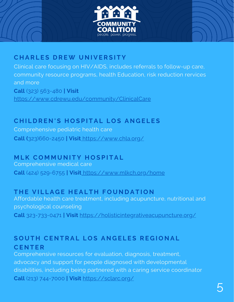



#### **C H A R L E S D R EW U N I V E R S I T Y**

Clinical care focusing on HIV/AIDS, includes referrals to follow-up care, community resource programs, health Education, risk reduction rervices and more **Call** (323) [563-480](tel:3235634800) **| Visit** <https://www.cdrewu.edu/community/ClinicalCare>

#### CHILDREN'S HOSPITAL LOS ANGELES

Comprehensive pediatric health care **Call (**[323\)660-2450](tel:+1-323-660-2450) **| Visit** <https://www.chla.org/>

#### $M$  **LK** COMMUNITY HOSPITAL

Comprehensive medical care **Call** (424) [529-6755](tel:+1424-529-6755) **| Visi[t](https://www.ummaclinic.org/)** <https://www.mlkch.org/home>

#### THE VILLAGE HEALTH FOUNDATION

Affordable health care treatment, including acupuncture, nutritional and psychological counseling **Call** 323-733-0471 **| Visit** <https://holisticintegrativeacupuncture.org/>

#### SOUTH CENTRAL LOS ANGELES REGIONAL **CE N T E R**

Comprehensive resources for evaluation, diagnosis, treatment, advocacy and support for people diagnosed with developmental disabilities, including being partnered with a caring service coordinator **Call** (213) [744-7000](tel:+12137447000) **| Visit** <https://sclarc.org/>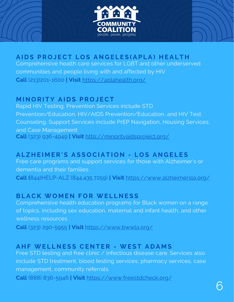

#### AIDS PROJECT LOS ANGELES (APLA) HEALTH

Comprehensive health care services for LGBT and other underserved communities and people living with and affected by HIV **Call** ([213\)201-1600](tel:2132011600) **| Visit** <https://aplahealth.org/>

#### **M I N O R I T Y A I D S P R O J ECT**

Rapid HIV Testing. Prevention Services include STD Prevention/Education, HIV/AIDS Prevention/Education, and HIV Test Counseling. Support Services include PrEP Navigation, Housing Services, and Case Management **Call** (323) 936-4949 **| Visit** <http://minorityaidsproject.org/>

#### ALZHEIMER'S ASSOCIATION - LOS ANGELES

Free care programs and support services for those with Alzheimer's or dementia and their families **Call (**844)HELP-ALZ (844.435.7259) **| Visit** <https://www.alzheimersla.org/>

#### **BL ACK WO M E N F O R WE L L N E S S**

Comprehensive health education programs for Black women on a range of topics, including sex education, maternal and infant health, and other wellness resources

**Call** (323) 290-5955 **| Visit** <https://www.bwwla.org/>

#### **A H F WE L L N E S S CE N T E R - WE S T A D A M S**

Free STD testing and free clinic / infectious disease care. Services also include STD treatment, blood testing services, pharmacy services, case management, community referrals

**Call** (888) [836-5946](tel:+1888-836-5946) **| Visit** <https://www.freestdcheck.org/>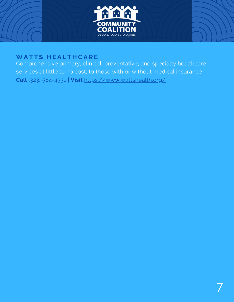

#### **WA T T S H E A L T H CA R E**

Comprehensive primary, clinical, preventative, and specialty healthcare services at little to no cost, to those with or without medical insurance **Call** (323) 564-4331 **| Visit** <https://www.wattshealth.org/>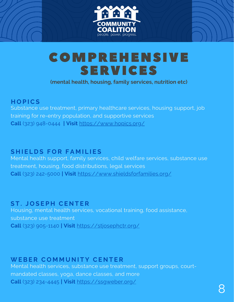



**(mental health, housing, family services, nutrition etc)**

#### **H O P ICS**

Substance use treatment, primary healthcare services, housing support, job training for re-entry population, and supportive services **Call** (323) 948-0444 **| Visit** <https://www.hopics.org/>

#### **S H I E L D S F O R F A M I L I E S**

Mental health support, family services, child welfare services, substance use treatment, housing, food distributions, legal services **Call** (323) 242-5000 **| Visi[t](https://www.wellchild.org/mental-health/)** <https://www.shieldsforfamilies.org/>

#### **S T . J O S E P H CE N T E R**

Housing, mental health services, vocational training, food assistance, substance use treatment **Call** (323) 905-1140 **| Visit** <https://stjosephctr.org/>

#### **WEBE R C O M M U N I T Y CE N T E R**

Mental health services, substance use treatment, support groups, courtmandated classes, yoga, dance classes, and more **Call** (323) [234-4445](tel:3232344445) **| Visit** <https://ssgweber.org/>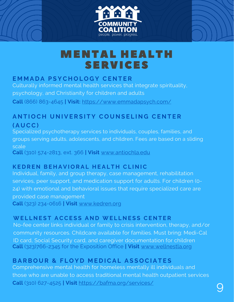



## MENTAL HEALTH SERVICES

#### **E M M A D A P S YC H O L O G Y CE N T E R**

Culturally informed mental health services that integrate spirituality, psychology, and Christianity for children and adults

**Call** (866) 863-4645 **| Visit:** <https://www.emmadapsych.com/>

#### **ANTIOCH UNIVERSITY COUNSELING CENTER ( A U CC)**

Specialized psychotherapy services to individuals, couples, families, and groups serving adults, adolescents, and children. Fees are based on a sliding scale **Call** (310) 574-2813, ext. 366 **| Visit** [www.antiochla.edu](http://www.antiochla.edu/)

#### **KEDREN BEHAVIORAL HEALTH CLINIC**

Individual, family, and group therapy, case management, rehabilitation services, peer support, and medication support for adults. For children (0- 24) with emotional and behavioral issues that require specialized care are provided case management **Call** (323) [234-0616](https://www.kedren.org/services/behavioral-health/adult-services/general-services/#) **| Visit** [www.kedren.org](http://www.kedren.org/)

#### WELLNEST ACCESS AND WELLNESS CENTER

No-fee center links individual or family to crisis intervention, therapy, and/or community resources. Childcare available for families. Must bring: Medi-Cal ID card, Social Security card, and caregiver documentation for children **Call** (323)766-2345 for the Exposition Office **| Visit** [www.wellnestla.org](http://www.wellnestla.org/)

#### BARBOUR & FLOYD MEDICAL ASSOCIATES

Comprehensive mental health for homeless mentally ill individuals and those who are unable to access traditional mental health outpatient services **Call** (310) [627-4525](tel:+13106274525) **| Visit** <https://bafma.org/services/>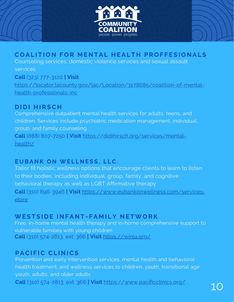

#### COALITION FOR MENTAL HEALTH PROFFESIONALS

Counseling services, domestic violence services and sexual assault services

**Call** (323) 777-3120 **| Visit** [https://locator.lacounty.gov/lac/Location/3178685/coalition-of-mental](https://locator.lacounty.gov/lac/Location/3178685/coalition-of-mental-health-professionals-inc)health-professionals-inc

#### **D I D I H I R SC H**

Comprehensive outpatient mental health services for adults, teens, and children. Services include psychiatric medication management, individual, group, and family counseling **Call** (888) 807-7250 **| Visit** [https://didihirsch.org/services/mental](https://didihirsch.org/services/mental-health/)health/

#### **EUBANK ON WELLNESS, LLC.**

Tailor fit holistic wellness options that encourage clients to learn to listen to their bodies, including Individual, group, family, and cognitive behavioral therapy as well as LGBT Affirmative therapy **Call** (310) 896-3946 **| Visit** [https://www.eubankonwellness.com/services](https://www.eubankonwellness.com/services-ebire)ebire

#### WESTSIDE INFANT-FAMILY NETWORK

Free, in-home mental health therapy and in-home comprehensive support to vulnerable families with young children **Call** (310) 574-2813, ext. 366 **| Visit** <https://winla.org/>

#### **P ACI F IC CL I N ICS**

Prevention and early intervention services, mental health and behavioral health treatment, and wellness services to children, youth, transitional age youth, adults, and older adults **Call** (310) 574-2813, ext. 366 **| Visit** <https://www.pacificclinics.org/>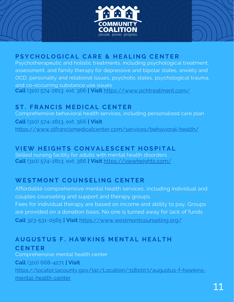



#### PSYCHOLOGICAL CARE & HEALING CENTER

Psychotherapeutic and holistic treatments, including psychological treatment, assessment, and family therapy for depressive and bipolar states, anxiety and OCD, personality and relational issues, psychotic states, psychological trauma, and co-occurring substance use issues **Call** (310) 574-2813, ext. 366 **| Visit** <https://www.pchtreatment.com/>

#### **S T . F R A N CI S M E D ICA L CE N T E R**

Comprehensive behavioral health services, including personalized care plan **Call** (310) 574-2813, ext. 366 **| Visit** <https://www.stfrancismedicalcenter.com/services/behavioral-health/>

#### VIEW HEIGHTS CONVALESCENT HOSPITAL

Skilled nursing facility for adults with mental health disorders **Call** (310) 574-2813, ext. 366 **| Visit** <https://viewheights.com/>

#### **WE S T M O N T C O U N S E L I N G CE N T E R**

Affordable comprehensive mental health services, including individual and couples counseling and support and therapy groups. Fees for individual therapy are based on income and ability to pay. Groups are provided on a donation basis. No one is turned away for lack of funds **Call** 323-531-0565 **| Visit** <https://www.westmontcounseling.org/>

#### AUGUSTUS F. HAWKINS MENTAL HEALTH **CE N T E R**

Comprehensive mental health center **Call** (310) 668-4271 **| Visit** [https://locator.lacounty.gov/lac/Location/3181003/augustus-f-hawkins](https://locator.lacounty.gov/lac/Location/3181003/augustus-f-hawkins-mental-health-center)mental-health-center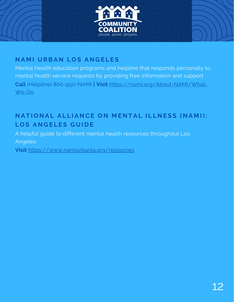



#### **N A M I U RBA N L O S A N G E L E S**

Mental Health education programs and helpline that responds personally to mental health service requests by providing free information and support **Call** (Helpline) [800-950-NAMI](tel:1-800-950-NAMI) **| Visit** [https://nami.org/About-NAMI/What-](https://nami.org/About-NAMI/What-We-Do)We-Do

#### NATIONAL ALLIANCE ON MENTAL ILLNESS (NAMI):  $LOS$  ANGELES GUIDE

A helpful guide to different mental health resources throughout Los Angeles

**Visit** <https://www.namiurbanla.org/resources>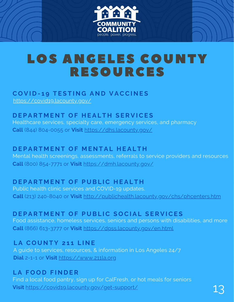

## LOS ANGELES COUNTY RESOURCES

#### **C O V I D - 1 9 T E S T I N G A N D V ACCI N E S**

<https://covid19.lacounty.gov/>

#### $D$  **EPARTMENT OF HEALTH SERVICES**

Healthcare services, specialty care, emergency services, and pharmacy **Call** (844) 804-0055 or **Visit** <https://dhs.lacounty.gov/>

#### $P$  **DEPARTMENT OF MENTAL HEALTH**

Mental health screenings, assessments, referrals to service providers and resources **Call** (800) 854-7771 or **Visit** <https://dmh.lacounty.gov/>

#### $P$  **DEPARTMENT OF PUBLIC HEALTH**

Public health clinic services and COVID-19 updates. **Call** (213) 240-8040 or **Visit** <http://publichealth.lacounty.gov/chs/phcenters.htm>

#### DEPARTMENT OF PUBLIC SOCIAL SERVICES

Food assistance, homeless services, seniors and persons with disabilities, and more **Call** (866) 613-3777 or **Visit** <https://dpss.lacounty.gov/en.html>

#### **L A C O U N T Y 2 1 1 L I N E**

A guide to services, resources, & information in Los Angeles 24/7 **Dial** 2-1-1 or **Visit** [https://www.211la.org](https://www.211la.org/)

#### **L A F O O D F I N D E R**

Find a local food pantry, sign up for CalFresh, or hot meals for seniors Visit <https://covid19.lacounty.gov/get-support/>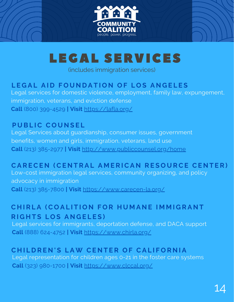



(includes immigration services)

#### LEGAL AID FOUNDATION OF LOS ANGELES

Legal services for domestic violence, employment, family law, expungement, immigration, veterans, and eviction defense **Call** (800) 399-4529 **| Visit** <https://lafla.org/>

#### **P U BL IC C O U N S E L**

Legal Services about guardianship, consumer issues, government benefits, women and girls, immigration, veterans, land use **Call** (213) 385-2977 **| Visit** <http://www.publiccounsel.org/home>

#### CARECEN (CENTRAL AMERICAN RESOURCE CENTER)

Low-cost immigration legal services, community organizing, and policy advocacy in immigration **Call** (213) 385-7800 **| Visit** <https://www.carecen-la.org/>

#### CHIRLA (COALITION FOR HUMANE IMMIGRANT  $R$  **IGHTS LOS ANGELES**

Legal services for immigrants, deportation defense, and DACA support **Call** (888) 624-4752 **| Visit** <https://www.chirla.org/>

#### CHILDREN'S LAW CENTER OF CALIFORNIA

Legal representation for children ages 0-21 in the foster care systems **Call** (323) 980-1700 **| Visit** <https://www.clccal.org/>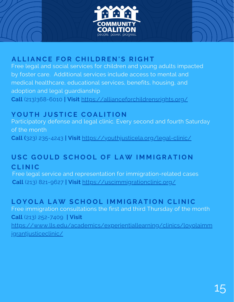



#### ALLIANCE FOR CHILDREN'S RIGHT

Free legal and social [services](https://allianceforchildrensrights.org/programs) for children and young adults impacted by foster care. Additional services include access to mental and medical healthcare, educational services, benefits, housing, and adoption and legal guardianship

**Call** (213)368-6010 **| Visit** <https://allianceforchildrensrights.org/>

#### **Y O U T H J U S T ICE C O A L I T I O N**

Participatory defense and legal clinic. Every second and fourth Saturday of the month

**Call [\(](tel:+1-323-235-4243)**323) [235-4243](tel:+1-323-235-4243) **| Visit** <https://youthjusticela.org/legal-clinic/>

#### USC GOULD SCHOOL OF LAW IMMIGRATION **CL I N IC**

Free legal service and representation for immigration-related cases **Call** (213) 821-9627 **| Visit** <https://uscimmigrationclinic.org/>

#### LOYOLA LAW SCHOOL IMMIGRATION CLINIC

Free immigration consultations the first and third Thursday of the month **Call** (213) 252-7409 **| Visit** [https://www.lls.edu/academics/experientiallearning/clinics/loyolaimm](https://www.lls.edu/academics/experientiallearning/clinics/loyolaimmigrantjusticeclinic/)

igrantjusticeclinic/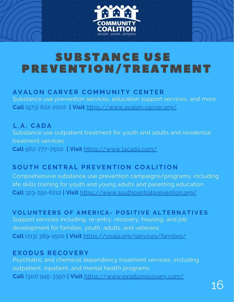

## SUBSTANCE USE PREVENTION/TREATMENT

#### AVALON CARVER COMMUNITY CENTER

Substance use prevention services, education support services, and more **Call** (973) 622-2002 **| Visit** <https://www.avalon-carver.org/>

**L . A . CA D A** Substance use outpatient treatment for youth and adults and residential treatment services **Call** 562-777-7500 **| Visit** <https://www.lacada.com/>

#### SOUTH CENTRAL PREVENTION COALITION

Comprehensive substance use prevention campaigns/programs, including life skills training for youth and young adults and parenting education **Call** [323-291-6212](tel:5555555555) **| Visit** <https://www.southcentralprevention.org/>

**VOLUNTEERS OF AMER[ICA](https://voala.org/)- POSITIVE ALTERNATIVES** Support services including, re-entry, recovery, housing, and job development for families, youth, adults, and veterans **Call** (213) [389-1500](tel:213-389-1500) **| Visit** <https://voala.org/services/families/>

#### **E X O D U S R EC O V E R Y**

Psychiatric and chemical dependency treatment services, including outpatient, inpatient, and mental health programs **Call** (310) [945-3350](tel:(310)%20945-3350) **| Visit** <https://www.exodusrecovery.com/>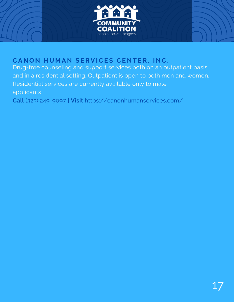



#### $C$ ANON HUMAN SERVICES CENTER, INC.

Drug-free counseling and support services both on an outpatient basis and in a residential setting. Outpatient is open to both men and women. Residential services are currently available only to male applicants

**Call** (323) [249-9097](tel:3232499097;) **| Visit** <https://canonhumanservices.com/>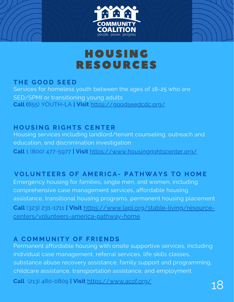



## HOUSING RESOURCES

#### **T H E G O O D S E E D**

Services for homeless youth between the ages of 18-25 who are SED/SPMI or transitioning young adults **Call [\(](tel:8559688452)**855) [YOUTH-LA](tel:8559688452) **| Visit** <https://goodseedcdc.org/>

 $H$  **OUSING RIGHTS CENTER** Housing services including [landlord/tenant](https://www.housingrightscenter.org/) counseling, outreach and education, and [discrimination](https://www.housingrightscenter.org/) investigation **Call** 1 (800) 477-5977 **| Visit** <https://www.housingrightscenter.org/>

#### **VOLUNTEERS OF AMERICA- PATHWAYS TO HOME**

Emergency housing for families, single men, and women, including comprehensive case management services, affordable housing assistance, transitional housing programs, permanent housing placement **Call** (323) 231-1711 **| Visit** [https://www.lapl.org/stable-living/resource](https://www.lapl.org/stable-living/resource-centers/volunteers-america-pathway-home)centers/volunteers-america-pathway-home

#### **A C O M M U N I T Y O F F R I E N D S**

Permanent affordable housing with onsite supportive services, including individual case management, referral services, life skills classes, substance abuse recovery assistance, family support and programming, childcare assistance, transportation assistance, and employment

**Call** (213) [480-0809](https://www.google.com/search?gs_ssp=eJzj4tFP1zc0MjOyKMjKtjRgtFI1qLAwSDZKsrAwSU4ySjG1tEiyMqgwTLRMNbOwMDQzSDS0SDM38RJLVEjOz80tzcssqVTIT1NIK8pMzUspBgAsfBar&q=a+community+of+friends&oq=a+comm&aqs=chrome.1.69i57j46i175i199i512j0i512l2j0i433i512j0i512j46i175i199i512j69i60.2421j0j4&sourceid=chrome&ie=UTF-8#) **| Visit** <https://www.acof.org/>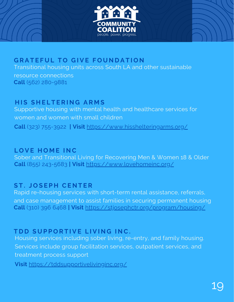



#### $B$  **GRATEFUL TO GIVE FOUNDATION**

Transitional housing units across South LA and other sustainable resource connections **Call** (562) 280-9881

#### **H I S S H E L T E R I N G A R M S**

Supportive housing with mental health and healthcare services for women and women with small children **Call** (323) 755-3922 **| Visit** <https://www.hisshelteringarms.org/>

#### **L O V E H O M E I N C**

Sober and Transitional Living for Recovering Men & Women 18 & Older **Call** (855) [243-5683](tel:8559688452) **| Visit** <https://www.lovehomeinc.org/>

#### **S T . J O S E P H CE N T E R**

Rapid re-housing services with short-term rental assistance, referrals, and case [management](https://stjosephctr.org/program/housing/) to assist families in securing permanent housing **Call** (310) 396 6468 **| Visit** <https://stjosephctr.org/program/housing/>

#### $T$ **DD SUPPORTIVE LIVING INC.**

Housing services including sober living, re-entry, and family housing. Services include group facilitation services, outpatient services, and treatment process support

**Visit** <https://tddsupportivelivinginc.org/>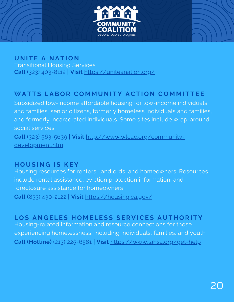



Transitional Housing Services **Call** (323) 403-8112 **| Visit** <https://uniteanation.org/>

#### WATTS LABOR COMMUNITY ACTION COMMITTEE

Subsidized low-income affordable housing for low-income individuals and families, senior citizens, formerly homeless individuals and families, and formerly incarcerated individuals. Some sites include wrap-around social services **Call** (323) 563-5639 **| Visit** [http://www.wlcac.org/community-](http://www.wlcac.org/community-development.htm)

development.htm

#### **H O U S I N G I S K E Y**

Housing resources for renters, landlords, and homeowners. Resources include rental assistance, eviction protection information, and foreclosure assistance for homeowners **Call (**833) 430-2122 **| Visit** <https://housing.ca.gov/>

#### LOS ANGELES HOMELESS SERVICES AUTHORITY

Housing-related information and resource connections for those experiencing homelessness, including individuals, families, and youth **Call (Hotline)** (213) [225-6581](tel:+12132256581) **| Visit** <https://www.lahsa.org/get-help>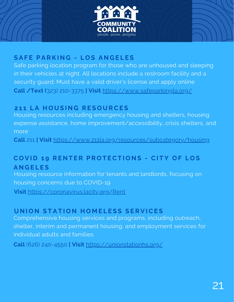



#### **S A F E P A R K I N G - L O S A N G E L E S**

Safe parking location program for those who are unhoused and sleeping in their vehicles at night. All locations include a restroom facility and a security guard. Must have a valid driver's license and apply online **Call /Text (**323) 210-3375 **| Visit** <https://www.safeparkingla.org/>

#### **2 1 1 L A H O U S I N G R E S O U RCE S**

Housing resources including emergency housing and shelters, housing expense assistance, home improvement/accessibility, crisis shelters, and more

**Call** 211 **| Visit** <https://www.211la.org/resources/subcategory/housing>

#### COVID 19 RENTER PROTECTIONS - CITY OF LOS **A N G E L E S**

Housing resource information for tenants and landlords, focusing on housing concerns due to COVID-19

**Visit** <https://coronavirus.lacity.org/Rent>

#### UNION STATION HOMELESS SERVICES

Comprehensive housing services and programs, including outreach, shelter, interim and permanent housing, and employment services for individual adults and families

**Call** (626) 240-4550 **| Visit** <https://unionstationhs.org/>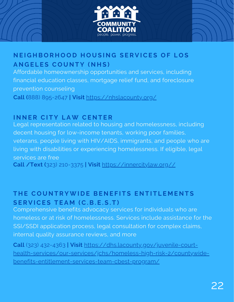



#### NEIGHBORHOOD HOUSING SERVICES OF LOS **A N G E L E S C O U N T Y ( N H S )**

Affordable homeownership opportunities and services, including financial education classes, mortgage relief fund, and foreclosure prevention counseling

**Call (**888) 895-2647 **| Visit** <https://nhslacounty.org/>

#### **I N N E R CI T Y L AW CE N T E R**

Legal representation related to housing and homelessness, including decent housing for low-income tenants, working poor families, veterans, people living with HIV/AIDS, immigrants, and people who are living with disabilities or experiencing homelessness. If eligible, legal services are free

**Call /Text (**323) 210-3375 **| Visit** [https://innercitylaw.org//](https://innercitylaw.org/)

#### THE COUNTRYWIDE BENEFITS ENTITLEMENTS **S E R V ICE S T E A M (C. B . E . S . T )**

Comprehensive benefits advocacy services for individuals who are homeless or at risk of homelessness. Services include assistance for the SSI/SSDI application process, legal consultation for complex claims, internal quality assurance reviews, and more

**Call** (323) 432-4363 **| Visit** https://dhs.lacounty.gov/juvenile-court[health-services/our-services/jchs/homeless-high-risk-2/countywide](https://dhs.lacounty.gov/juvenile-court-health-services/our-services/jchs/homeless-high-risk-2/countywide-benefits-entitlement-services-team-cbest-program/)benefits-entitlement-services-team-cbest-program/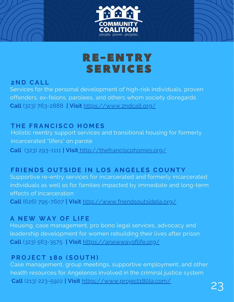



#### **2 N D CA L L**

Services for the personal development of high-risk individuals, proven offenders, ex-felons, parolees, and others whom society disregards **Call** (323) 763-2888 **| Visit** <https://www.2ndcall.org/>

#### **T H E F R A N CI SC O H O M E S**

Holistic reentry support services and transitional housing for formerly incarcerated "lifers" on parole

**Call** (323) 293-1111 **| Visit** <http://thefranciscohomes.org/>

#### FRIENDS OUTSIDE IN LOS ANGELES COUNTY

Supportive re-entry services for incarcerated and formerly incarcerated individuals as well as for families impacted by immediate and long-term effects of incarceration

**Call** (626) 795-7607 **| Visit** <http://www.friendsoutsidela.org/>

#### **A N EW WA Y O F L I F E**

Housing, case management, pro bono legal services, advocacy and leadership development for women rebuilding their lives after prison **Call** (323) 563-3575 **| Visit** <https://anewwayoflife.org/>

#### **P R O J ECT 1 8 0 ( S O U T H )**

Case management, group meetings, supportive employment, and other health resources for Angelenos involved in the criminal justice system .**Call** (213) 223-5922 **<sup>|</sup> Visit** <https://www.project180la.com/> 23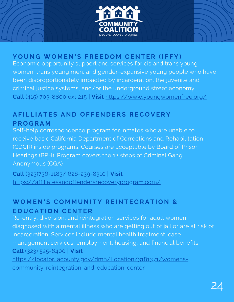

#### YOUNG WOMEN'S FREEDOM CENTER (IFFY)

Economic opportunity support and services for cis and trans young women, trans young men, and gender-expansive young people who have been disproportionately impacted by incarceration, the juvenile and criminal justice systems, and/or the underground street economy **Call** (415) 703-8800 ext 215 **| Visit** <https://www.youngwomenfree.org/>

#### AFILLIATES AND OFFENDERS RECOVERY **P R O G R A M**

Self-help correspondence program for inmates who are unable to receive basic California Department of Corrections and [Rehabilitation](https://en.wikipedia.org/wiki/California_Department_of_Corrections_and_Rehabilitation) (CDCR) inside programs. Courses are [acceptable](http://www.cdcr.ca.gov/victim_services/docs/bphhandbook.pdf) by Board of Prison Hearings (BPH). Program covers the 12 steps of Criminal Gang [Anonymous](http://www.angelfire.com/id/CGAnonymous/) (CGA)

**Call** (323)736-1183/ 626-239-8310 **| Visit** <https://affiliatesandoffendersrecoveryprogram.com/>

#### WOMEN'S COMMUNITY REINTEGRATION & **E D U CA T I O N CE N T E R**

Re-entry, diversion, and reintegration services for adult women diagnosed with a mental illness who are getting out of jail or are at risk of incarceration. Services include mental health treatment, case management services, employment, housing, and financial benefits **Call** (323) 525-6400 **| Visit**

[https://locator.lacounty.gov/dmh/Location/3181371/womens](https://locator.lacounty.gov/dmh/Location/3181371/womens-community-reintegration-and-education-center)community-reintegration-and-education-center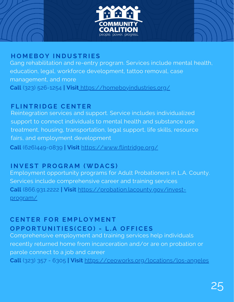

#### **H O M EB O Y I N D U S T R I E S**

Gang rehabilitation and re-entry program. Services include mental health, education, legal, workforce development, tattoo removal, case management, and more **Call** (323) [526-1254](https://www.google.com/search?q=homeboyindustries&oq=homeboyindustries&aqs=chrome..69i57j46i10i175i199i512j0i10l2j46i10i175i199j69i60l3.258j0j4&sourceid=chrome&ie=UTF-8#) **| Visit** <https://homeboyindustries.org/>

#### **F L I N T R I D G E CE N T E R**

Reintegration services and support. Service includes individualized support to connect individuals to mental health and substance use treatment, housing, transportation, legal support, life skills, resource fairs, and employment development

**Call** (626)449-0839 **| Visit** <https://www.flintridge.org/>

#### **I N V E S T P R O G R A M (WD ACS )**

Employment opportunity programs for Adult Probationers in L.A. County. Services include comprehensive career and training services **Call** ([866.931.2222](tel://18669312222) **| Visit** [https://probation.lacounty.gov/invest](https://probation.lacounty.gov/invest-program/)program/

#### **CE N T E R F O R E M P L O Y M E N T** OPPORTUNITIES(CEO) - L.A OFFICES

Comprehensive employment and training services help individuals recently returned home from incarceration and/or are on probation or parole connect to a job and career **Call** [\(323\)](tel:+12137447000) 357 - 6305 **| Visit** <https://ceoworks.org/locations/los-angeles>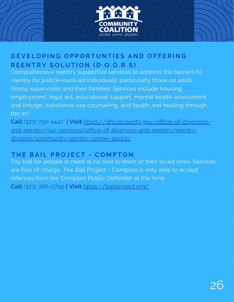

#### DEVELOPING OPPORTUNTIES AND OFFERING REENTRY SOLUTION (D.O.O.R.S)

Comprehensive reentry supportive services to address the barriers to reentry for justice-involved individuals, particularly those on adult felony supervision and their families. Services include housing, employment, legal aid, educational support, mental health assessment and linkage, substance use counseling, and health and healing through the art

**Call** (323) 730-4442 **| Visit** https://dhs.lacounty.gov/office-of-diversion[and-reentry/our-services/office-of-diversion-and-reentry/reentry](https://dhs.lacounty.gov/office-of-diversion-and-reentry/our-services/office-of-diversion-and-reentry/reentry-division/community-reentry-center-doors/)division/community-reentry-center-doors/

#### **T H E BA I L P R O J ECT - C O M P T O N**

Pay bail for people in need at no cost to them or their loved ones. Services are free of charge. The Bail Project - Compton is only able to accept referrals from the Compton Public Defender at this time **Call** (323) [366-0799](tel:+12137447000) **| Visit** <https://bailproject.org/>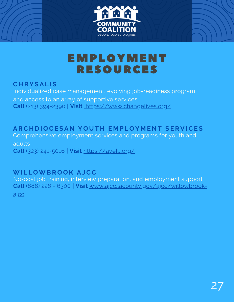



## EMPLOYMENT RESOURCES

#### **C H R Y S A L I S**

Individualized case management, evolving job-readiness program, and access to an array of supportive services **Call** (213) 394-2390 **| Visit** <https://www.changelives.org/>

#### ARCHDIOCESAN YOUTH EMPLOYMENT SERV[ICE](https://ayela.org/)S

Comprehensive employment services and programs for youth and adults **Call** (323) 241-5016 **| Visit** <https://ayela.org/>

#### **WI L L OWB R O O K A JCC**

No-cost job training, interview preparation, and employment support **Call** (888) 226 - 6300 **| Visit** [www.ajcc.lacounty.gov/ajcc/willowbrook](http://www.ajcc.lacounty.gov/ajcc/willowbrook-ajcc)ajcc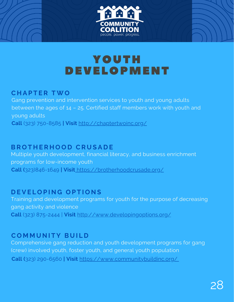



## YOUTH DEVELOPMENT

#### **C H A P T E R TWO**

Gang prevention and intervention services to youth and young adults between the ages of 14 – 25. Certified staff members work with youth and young adults **Call** (323) [750-8585](https://www.google.com/search?q=chapter+two+inc&oq=chapter+two+inc&aqs=chrome.0.0i355i512j46i175i199i512j0i22i30j0i10i22i30l2j69i60l2.2235j0j4&sourceid=chrome&ie=UTF-8#) **| Visit** <http://chaptertwoinc.org/>

#### **BR O T H E R H O O D CR U S A D E**

Multiple youth development, financial literacy, and business enrichment programs for low-income youth **Call (**323)846-1649 **| Visit** <https://brotherhoodcrusade.org/>

#### **D E V E L O P I N G O P T I O N S**

Training and development programs for youth for the purpose of decreasing gang activity and violence **Call** (323) [875-2444](https://www.google.com/search?sxsrf=AOaemvKdqHIaTME6RgtTTPDUnM4ZbtfktA:1636501455664&q=developing+options+developing+options+los+angeles+phone&ludocid=5596998455209983192&sa=X&ved=2ahUKEwjlp8H_uoz0AhViNn0KHVQJCxoQ6BN6BAg_EAI&biw=908&bih=969&dpr=2#) | **[Visit](http://www.developingoptions.org/)** <http://www.developingoptions.org/>

#### **C O M M U N I T Y B U I L D**

Comprehensive gang reduction and youth development programs for gang (crew) involved youth, foster youth, and general youth population **Call (**323) 290-6560 **| Visit** <https://www.communitybuildinc.org/>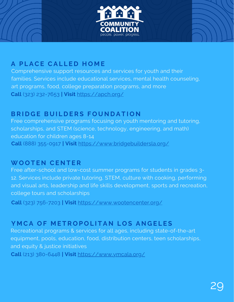

#### **A P L ACE CA L L E D H O M E**

Comprehensive support resources and services for youth and their families. Services include educational services, mental health counseling, art programs, food, college preparation programs, and more **Call** (323) 232-7653 **| Visit** <https://apch.org/>

#### **BRIDGE BUILDERS FOUNDATION**

Free comprehensive programs focusing on youth mentoring and tutoring, scholarships, and STEM (science, technology, engineering, and math) education for children ages 8-14 **Call** (888) 355-0917 **| Visit** <https://www.bridgebuildersla.org/>

#### **WO O T E N CE N T E R**

Free after-school and low-cost summer programs for students in grades 3- 12. Services include private tutoring, STEM, culture with cooking, performing and visual arts, leadership and life skills development, sports and recreation, college tours and scholarships

**[Call](http://www.developingoptions.org/)** (323) [756-7203](http://www.developingoptions.org/) **| [Visit](http://www.developingoptions.org/)** <https://www.wootencenter.org/>

#### YMCA OF METROPOLITAN LOS ANGELES

Recreational programs & services for all ages, including state-of-the-art equipment, pools, education, food, distribution centers, teen scholarships, and equity & justice initiatives

**Call** (213) [380-6448](https://www.google.com/search?q=ymca+of+metropolitan+los+angeles&oq=YMCA+OF+METROPOLITAN+LOS+ANGELES&aqs=chrome.0.0i355i512j46i175i199i512j0i512l2j0i22i30l2j69i60.287j0j4&sourceid=chrome&ie=UTF-8#) **| Visit** <https://www.ymcala.org/>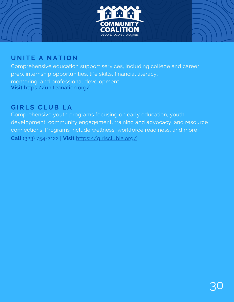

#### **U N I T E A N A T I O N**

Comprehensive education support services, including college and career prep, internship opportunities, life skills, financial literacy, men[t](https://www.changelives.org/)oring, and professional development **Visit** <https://uniteanation.org/>

#### **G I R L S CL U B L A**

Comprehensive youth programs focusing on early education, youth development, community engagement, training and advocacy, and resource connections. Programs include wellness, workforce readiness, and more **[Call](http://www.developingoptions.org/)** (323) [754-2122](http://www.developingoptions.org/) **| [Visit](http://www.developingoptions.org/)** <https://girlsclubla.org/>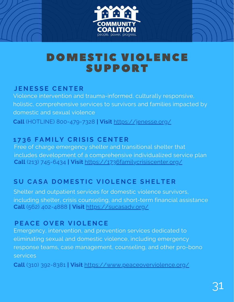

## DOMESTIC VIOLENCE SUPPORT

#### **J E N E S S E CE N T E R**

Violence intervention and trauma-informed, culturally responsive, holistic, comprehensive services to survivors and families impacted by domestic and sexual violence **Call** (HOTLINE) 800-479-7328 **| Visit** <https://jenesse.org/>

#### **1 7 3 6 F A M I L Y CR I S I S CE N T E R**

Free of charge emergency shelter and transitional shelter that includes development of a comprehensive individualized service plan **Call** (213) 745-6434 **| Visit** <https://1736familycrisiscenter.org/>

#### SU CASA DOMESTIC VIOLENCE SHELTER

Shelter and outpatient services for domestic violence survivors, including shelter, crisis counseling, and short-term financial assistance **Call** (562) 402-4888 **| Visit** <https://sucasadv.org/>

#### **PEACE OVER VIOLENCE**

Emergency, intervention, and prevention services dedicated to eliminating sexual and domestic violence, including emergency response teams, case management, counseling, and other pro-bono services

**Call** (310) 392-8381 **| Visit** <https://www.peaceoverviolence.org/>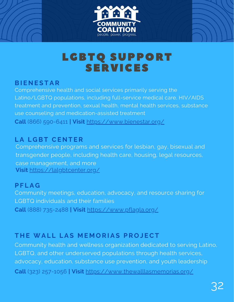



## LGBTQ SUPPORT SERVICES

#### **BI E N E S T A R**

Comprehensive health and social services primarily serving the Latino/LGBTQ populations, including full-service medical care, HIV/AIDS treatment and prevention, sexual health, mental health services, substance use counseling and medication-assisted treatment **Call** (866) [590-6411](tel:8665906411) **| Visit** <https://www.bienestar.org/>

#### **L A L G BT CE N T E R**

Comprehensive programs and services for lesbian, gay, bisexual and transgender people, including health care, housing, legal resources, case management, and more **Visit** <https://lalgbtcenter.org/>

#### **P F L A G**

Community meetings, education, advocacy, and resource sharing for LGBTQ individuals and their families **Call** (888) 735-2488 **| Visit** <https://www.pflagla.org/>

#### **T H E WA L L L A S M E M O R I A S P R O J ECT**

Community health and wellness organization dedicated to serving Latino, LGBTQ, and other underserved populations through health services, advocacy, education, substance use prevention, and youth leadership **Call** (323) 257-1056 **| Visit** <https://www.thewalllasmemorias.org/>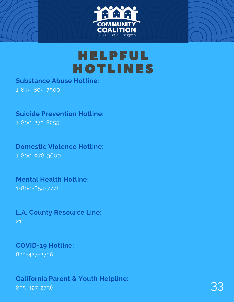

## HELPFUL HOTLINES

#### **Substance Abuse Hotline:**

1-844-804-7500

#### **Suicide Prevention Hotline:**

1-800-273-8255

## **Domestic Violence Hotline:**

1-800-978-3600

#### **Mental Health Hotline:** 1-800-854-7771

#### **L.A. County Resource Line:** 211

#### **COVID-19 Hotline:** 833-427-2736

#### **California Parent & Youth Helpline:** camorna Parent & Touth Retpune.<br>855-427-2736 33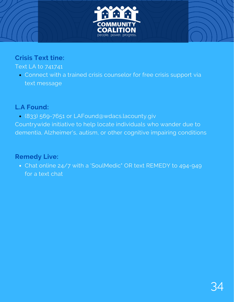

#### **Crisis Text tine:**

#### Text LA to 741741

Connect with a trained crisis counselor for free crisis support via text message

#### **L.A Found:**

(833) 569-7651 or LAFound@wdacs.lacounty.giv

Countrywide initiative to help locate individuals who wander due to dementia, Alzheimer's, autism, or other cognitive impairing conditions

#### **Remedy Live:**

Chat online 24/7 with a 'SoulMedic" OR text REMEDY to 494-949 for a text chat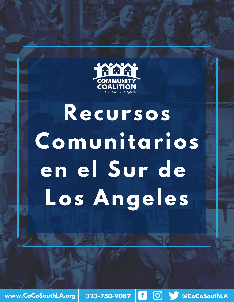

# **Recursos Comunitarios en el Sur de Los Angeles**

**www.CoCoSouthLA.org** 323-750-9087 <mark>[1</mark>  $\bigcirc$   $\bigcirc$  **S** @CoCoSouthLA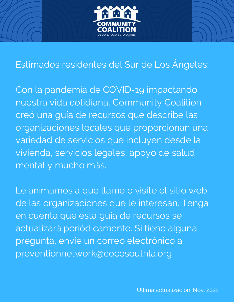

## Estimados residentes del Sur de Los Ángeles:

Con la pandemia de COVID-19 impactando nuestra vida cotidiana, Community Coalition creó una guía de recursos que describe las organizaciones locales que proporcionan una variedad de servicios que incluyen desde la vivienda, servicios legales, apoyo de salud mental y mucho más.

Le animamos a que llame o visite el sitio web de las organizaciones que le interesan. Tenga en cuenta que esta guía de recursos se actualizará periódicamente. Si tiene alguna pregunta, envíe un correo electrónico a preventionnetwork@cocosouthla.org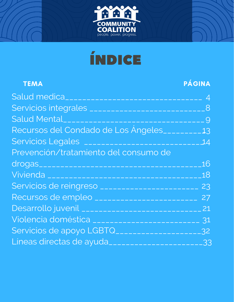



| <b>TEMA</b>                                            | <b>PÁGINA</b> |
|--------------------------------------------------------|---------------|
|                                                        |               |
|                                                        | 8             |
|                                                        |               |
| Recursos del Condado de Los Angeles________13          |               |
|                                                        |               |
| Prevención/tratamiento del consumo de                  |               |
|                                                        | $-16$         |
|                                                        | .18           |
|                                                        |               |
| Recursos de empleo __________________________          | 27            |
| Desarrollo juvenil ________________________________ 21 |               |
| Violencia doméstica ____________________________ 31    |               |
| Servicios de apoyo LGBTQ_____________________32        |               |
| Líneas directas de ayuda________________________33     |               |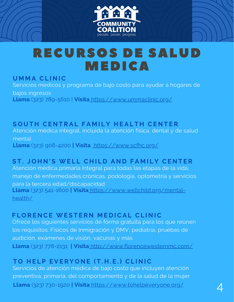

## RECURSOS DE SALUD MEDICA

#### **U M M A CL I N IC**

Servicios medicos y programa de bajo costo para ayudar a hogares de bajos ingresos **Llama** (323) [789-5610](tel:323-789-5610) | **Visita** <https://www.ummaclinic.org/>

SOUTH CENTRAL FAMILY HEALTH CENTER Atención médica integral, incluida la atención física, dental y de salud mental **Llama** (323) [908-4200](https://www.google.com/search?q=south+central+family+health+center&oq=south+central+family+health+center&aqs=chrome.0.69i59j69i61.134j0j4&sourceid=chrome&ie=UTF-8#) **| Visita** <https://www.scfhc.org/>

#### ST. JOHN'S [WE](https://www.wellchild.org/)LL CHILD AND FAMILY CENTER

Atención médica primaria integral para todas las etapas de la vida, manejo de enfermedades crónicas, podología, optometría y servicios para la tercera edad/discapacidad **Llama** (323) 541-1600 **| Visita** [https://www.wellchild.org/mental](https://www.wellchild.org/mental-health/)health/

#### **F L O R E N CE WE S T E R N M E D ICA L CL I N IC**

Ofrece los siguientes servicios de forma gratuita para los que reúnen los requisitos: Físicos de Inmigración y DMV, pediatría, pruebas de audición, exámenes de visión, vacunas y más **Llama** (323) 778-2131 **| Visita** <http://www.florencewesternmc.com/>

#### TO HELP EVERYONE (T.H.E.) CLINIC

Servicios de atención médica de bajo costo que incluyen atención preventiva, primaria, del comportamiento y de la salud de la mujer **Llama** (323) [730-1920](https://www.tohelpeveryone.org/locations/#) **<sup>|</sup> Visita** <https://www.tohelpeveryone.org/> 4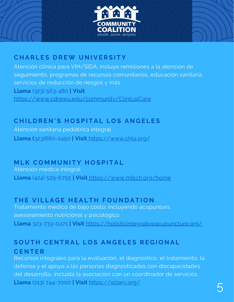



#### **C H A R L E S D R EW U N I V E R S I T Y**

Atención clínica para VIH/SIDA, incluye remisiones a la atención de seguimiento, programas de recursos comunitarios, educación sanitaria, servicios de reducción de riesgos y más **Llama** (323) [563-480](tel:3235634800) **| Visit** <https://www.cdrewu.edu/community/ClinicalCare>

#### CHILDREN'S HOSPITAL LOS ANGELES

Atención sanitaria pediátrica integral **Llama (**[323\)660-2450](tel:+1-323-660-2450) **| Visit** <https://www.chla.org/>

#### **M L K C O M M U N I T Y H O S P I T A L**

Atención médica integral **Llama** (424) [529-6755](tel:+1424-529-6755) **| Visit** <https://www.mlkch.org/home>

#### THE VILLAGE HEALTH FOUNDATION

Tratamiento medico de bajo costo, incluyendo acupuntura, asesoramiento nutricional y psicológico **Llama** 323-733-0471 **| Visit** <https://holisticintegrativeacupuncture.org/>

#### SOUTH CENTRAL LOS ANGELES REGIONAL **CE N T E R**

Recursos integrales para la evaluación, el diagnóstico, el tratamiento, la defensa y el apoyo a las personas diagnosticadas con discapacidades del desarrollo, incluida la asociación con un coordinador de servicios **Llama** (213) [744-7000](tel:+12137447000) **| Visit** <https://sclarc.org/>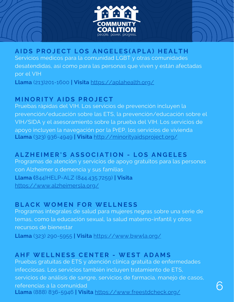

#### AIDS PROJECT LOS ANGELES (APLA) HEALTH

Servicios medicos para la comunidad LGBT y otras comunidades desatendidas, así como para las personas que viven y están afectadas por el VIH

**Llama** ([213\)201-1600](tel:2132011600) **| Visita** <https://aplahealth.org/>

#### **M I N O R I T Y A I D S P R O J ECT**

Pruebas rápidas del VIH. Los servicios de prevención incluyen la prevención/educación sobre las ETS, la prevención/educación sobre el VIH/SIDA y el asesoramiento sobre la prueba del VIH. Los servicios de apoyo incluyen la navegación por la PrEP, los servicios de vivienda **Llama** (323) 936-4949 **| Visita** <http://minorityaidsproject.org/>

#### ALZHEIMER'S ASSOCIATION - LOS ANGELES

Programas de atención y servicios de apoyo gratuitos para las personas con Alzheimer o demencia y sus familias **Llama (**844)HELP-ALZ (844.435.7259) **| Visita** <https://www.alzheimersla.org/>

#### **BL ACK WO M E N F O R WE L L N E S S**

Programas integrales de salud para mujeres negras sobre una serie de temas, como la educación sexual, la salud materno-infantil y otros recursos de bienestar

**Llama** (323) 290-5955 **| Visita** <https://www.bwwla.org/>

#### **A H F WE L L N E S S CE N T E R - WE S T A D A M S**

Pruebas gratuitas de ETS y atención clínica gratuita de enfermedades infecciosas. Los servicios también incluyen tratamiento de ETS, servicios de análisis de sangre, servicios de farmacia, manejo de casos, referencias a la comunidad **Llama** (888) [836-5946](tel:+1888-836-5946) **| Visita** <https://www.freestdcheck.org/>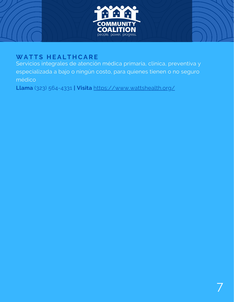

#### **WA T T S H E A L T H CA R E**

Servicios integrales de atención médica primaria, clínica, preventiva y especializada a bajo o ningún costo, para quienes tienen o no seguro médico

**Llama** (323) 564-4331 **| Visita** <https://www.wattshealth.org/>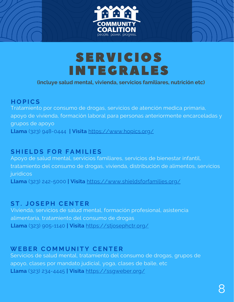



## SERVICIOS INTEGRALES

#### **(incluye salud mental, vivienda, servicios familiares, nutrición etc)**

#### **H O P ICS**

Tratamiento por consumo de drogas, servicios de atención medica primaria, apoyo de vivienda, formación laboral para personas anteriormente encarceladas y grupos de apoyo **Llama** (323) 948-0444 **| Visita** <https://www.hopics.org/>

#### **S H I E L D S F O R F A M I L I E S**

Apoyo de salud mental, servicios familiares, servicios de bienestar infantil, tratamiento del consumo de drogas, vivienda, distribución de alimentos, servicios jurídicos **Llama** (323) 242-5000 **| Visit[a](https://www.wellchild.org/mental-health/)** <https://www.shieldsforfamilies.org/>

#### **S T . J O S E P H CE N T E R**

Vivienda, servicios de salud mental, formación profesional, asistencia alimentaria, tratamiento del consumo de drogas **Llama** (323) 905-1140 **| Visita** <https://stjosephctr.org/>

#### **WEBE R C O M M U N I T Y CE N T E R**

Servicios de salud mental, tratamiento del consumo de drogas, grupos de apoyo, clases por mandato judicial, yoga, clases de baile, etc **Llama** (323) [234-4445](tel:3232344445) **| Visita** <https://ssgweber.org/>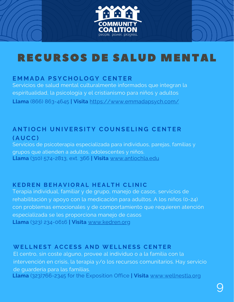

## RECURSOS DE SALUD MENTAL

#### **E M M A D A P S YC H O L O G Y CE N T E R**

Servicios de salud mental culturalmente informados que integran la espiritualidad, la psicología y el cristianismo para niños y adultos **Llama** (866) 863-4645 **| Visita** <https://www.emmadapsych.com/>

#### ANTIOCH UNIVERSITY COUNSELING CENTER **( A U CC)**

Servicios de psicoterapia especializada para individuos, parejas, familias y grupos que atienden a adultos, adolescentes y niños. **Llama** (310) 574-2813, ext. 366 **| Visita** [www.antiochla.edu](http://www.antiochla.edu/)

#### **KEDREN BEHAVIORAL HEALTH CLINIC**

Terapia individual, familiar y de grupo, manejo de casos, servicios de rehabilitación y apoyo con la medicación para adultos. A los niños (0-24) con problemas emocionales y de comportamiento que requieren atención especializada se les proporciona manejo de casos **Llama** (323) [234-0616](https://www.kedren.org/services/behavioral-health/adult-services/general-services/#) **| Visita** [www.kedren.org](http://www.kedren.org/)

#### WELLNEST ACCESS AND WELLNESS CENTER

El centro, sin coste alguno, provee al individuo o a la familia con la intervención en crisis, la terapia y/o los recursos comunitarios. Hay servicio de guardería para las familias. **Llama** (323)766-2345 for the Exposition Office **| Visita** [www.wellnestla.org](http://www.wellnestla.org/)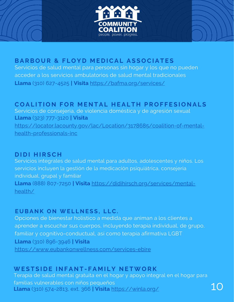



10

#### BARBOUR & FLOYD MEDICAL ASSOCIATES

Servicios de salud mental para personas sin hogar y los que no pueden acceder a los servicios ambulatorios de salud mental tradicionales **Llama** (310) [627-4525](tel:+13106274525) **| Visita** <https://bafma.org/services/>

#### COALITION FOR MENTAL HEALTH PROFFESIONALS

Servicios de consejeria, de violencia doméstica y de agresión sexual **Llama** (323) 777-3120 **| Visita** [https://locator.lacounty.gov/lac/Location/3178685/coalition-of-mental](https://locator.lacounty.gov/lac/Location/3178685/coalition-of-mental-health-professionals-inc)health-professionals-inc

#### $D$  **IDI**  $H$ **IRSCH**

Servicios integrales de salud mental para adultos, adolescentes y niños. Los servicios incluyen la gestión de la medicación psiquiátrica, consejeria individual, grupal y familiar

**Llama** (888) 807-7250 **| Visita** [https://didihirsch.org/services/mental](https://didihirsch.org/services/mental-health/)health/

#### **EUBANK ON WELLNESS, LLC.**

Opciones de bienestar holístico a medida que animan a los clientes a aprender a escuchar sus cuerpos, incluyendo terapia individual, de grupo, familiar y cognitivo-conductual, así como terapia afirmativa LGBT **Llama** (310) 896-3946 **| Visita** <https://www.eubankonwellness.com/services-ebire>

#### WESTSIDE INFANT-FAMILY NETWORK

Terapia de salud mental gratuita en el hogar y apoyo integral en el hogar para familias vulnerables con niños pequeños **Llama** (310) 574-2813, ext. 366 **| Visita** <https://winla.org/>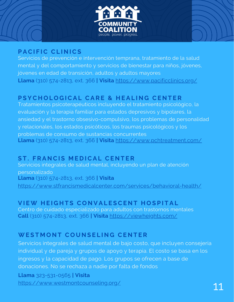

#### **P ACI F IC CL I N ICS**

Servicios de prevención e intervención temprana, tratamiento de la salud mental y del comportamiento y servicios de bienestar para niños, jóvenes, jóvenes en edad de transición, adultos y adultos mayores **Llama** (310) 574-2813, ext. 366 **| Visita** <https://www.pacificclinics.org/>

#### PSYCHOLOGICAL CARE & HEALING CENTER

Tratamientos psicoterapéuticos incluyendo el tratamiento psicológico, la evaluación y la terapia familiar para estados depresivos y bipolares, la ansiedad y el trastorno obsesivo-compulsivo, los problemas de personalidad y relacionales, los estados psicóticos, los traumas psicológicos y los problemas de consumo de sustancias concurrentes **Llama** (310) 574-2813, ext. 366 **| Visita** <https://www.pchtreatment.com/>

#### **S T . F R A N CI S M E D ICA L CE N T E R**

Servicios integrales de salud mental, incluyendo un plan de atención personalizado **Llama** (310) 574-2813, ext. 366 **| Visita** <https://www.stfrancismedicalcenter.com/services/behavioral-health/>

#### VIEW HEIGHTS CONVALESCENT HOSPITAL

Centro de cuidado especializado para adultos con trastornos mentales **Call** (310) 574-2813, ext. 366 **| Visita** <https://viewheights.com/>

#### **WE S T M O N T C O U N S E L I N G CE N T E R**

Servicios integrales de salud mental de bajo costo, que incluyen consejeria individual y de pareja y grupos de apoyo y terapia. El costo se basa en los ingresos y la capacidad de pago. Los grupos se ofrecen a base de donaciones. No se rechaza a nadie por falta de fondos

**Llama** 323-531-0565 **| Visita** <https://www.westmontcounseling.org/>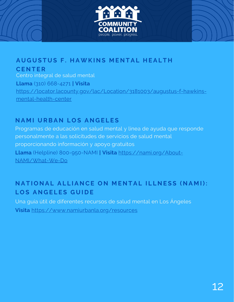

AUGUSTUS F. HAWKINS MENTAL HEALTH **CE N T E R** Centro integral de salud mental **Llama** (310) 668-4271 **| Visita** [https://locator.lacounty.gov/lac/Location/3181003/augustus-f-hawkins](https://locator.lacounty.gov/lac/Location/3181003/augustus-f-hawkins-mental-health-center)mental-health-center

#### **N A M I U RBA N L O S A N G E L E S**

Programas de educación en salud mental y línea de ayuda que responde personalmente a las solicitudes de servicios de salud mental proporcionando información y apoyo gratuitos **Llama** (Helpline) [800-950-NAMI](tel:1-800-950-NAMI) **| Visita** [https://nami.org/About-](https://nami.org/About-NAMI/What-We-Do)NAMI/What-We-Do

#### NATIONAL ALLIANCE ON MENTAL ILLNESS (NAMI):  $LOS$  ANGELES GUIDE

Una guía útil de diferentes recursos de salud mental en Los Ángeles **Visita** <https://www.namiurbanla.org/resources>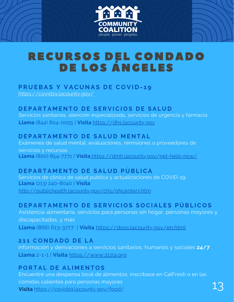

## RECURSOS DEL CONDADO DE LOS ÁNGELES

### **P R U EBA S Y V AC U N A S D E C O V I D - 1 9**

<https://covid19.lacounty.gov/>

#### DEPARTAMENTO DE SERVICIOS DE SALUD

Servicios sanitarios, atención especializada, servicios de urgencia y farmacia **Llama** (844) 804-0055 | **Visita** [https://dhs.lacounty.gov](https://dhs.lacounty.gov/)

#### $D$  **EPARTAMENTO DE SALUD MENTAL**

Exámenes de salud mental, evaluaciones, remisiones a proveedores de servicios y recursos **Llama** (800) 854-7771 | **Visita** <https://dmh.lacounty.gov/get-help-now/>

#### $DEPARTAMENTO DE SALUD PÚBLICA$

Servicios de clínica de salud pública y actualizaciones de COVID-19. **Llama** (213) 240-8040 | **Visita** <http://publichealth.lacounty.gov/chs/phcenters.htm>

#### DEPARTAMENTO DE SERVICIOS SOCIALES PÚBLICOS

Asistencia alimentaria, servicios para personas sin hogar, personas mayores y discapacitadas, y más **Llama** (866) 613-3777 | **Visita** <https://dpss.lacounty.gov/en.html>

#### **2 1 1 C O N D A D O D E L A**

información y derivaciones a servicios sanitarios, humanos y sociales **24/7** . **Llama** 2-1-1 | **Visita** [https://www.211la.org](https://www.211la.org/)

#### **PORTAL DE ALIMENTOS**

Encuentre una despensa local de alimentos, inscríbase en CalFresh o en las comidas calientes para personas mayores **Visita** <https://covid19.lacounty.gov/food/>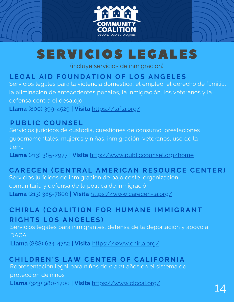

## SERVICIOS LEGALES

(incluye servicios de inmigración)

#### LEGAL AID FOUNDATION OF LOS ANGELES

Servicios legales para la violencia doméstica, el empleo, el derecho de familia, la eliminación de antecedentes penales, la inmigración, los veteranos y la defensa contra el desalojo **Llama** (800) 399-4529 **| Visita** <https://lafla.org/>

#### **P U BL IC C O U N S E L**

Servicios jurídicos de custodia, cuestiones de consumo, prestaciones gubernamentales, mujeres y niñas, inmigración, veteranos, uso de la tierra

**Llama** (213) 385-2977 **| Visita** <http://www.publiccounsel.org/home>

#### CARECEN (CENTRAL AMERICAN RESOURCE CENTER)

Servicios jurídicos de inmigración de bajo coste, organización comunitaria y defensa de la política de inmigración **Llama** (213) 385-7800 **| Visita** <https://www.carecen-la.org/>

#### CHIRLA (COALITION FOR HUMANE IMMIGRANT  $R$  **IGHTS LOS ANGELES**

Servicios legales para inmigrantes, defensa de la deportación y apoyo a **DACA** 

**Llama** (888) 624-4752 **| Visita** <https://www.chirla.org/>

#### CHILDREN'S LAW CENTER OF CALIFORNIA

Representación legal para niños de 0 a 21 años en el sistema de proteccion de niños **Llama** (323) 980-1700 **| Visita** <https://www.clccal.org/>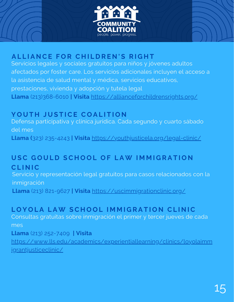



#### ALLIANCE FOR CHILDREN'S RIGHT

Servicios legales y sociales gratuitos para niños y jóvenes adultos afectados por foster care. Los servicios adicionales incluyen el acceso a la asistencia de salud mental y médica, servicios educativos, [prestaciones,](https://allianceforchildrensrights.org/programs) vivienda y adopción y tutela legal **Llama** (213)368-6010 **| Visita** <https://allianceforchildrensrights.org/>

#### **Y O U T H J U S T ICE C O A L I T I O N**

Defensa participativa y clínica jurídica. Cada segundo y cuarto sábado del mes

**Llama [\(](tel:+1-323-235-4243)**323) [235-4243](tel:+1-323-235-4243) **| Visita** <https://youthjusticela.org/legal-clinic/>

#### USC GOULD SCHOOL OF LAW IMMIGRATION **CL I N IC**

Servicio y representación legal gratuitos para casos relacionados con la inmigración

**Llama** (213) 821-9627 **| Visita** <https://uscimmigrationclinic.org/>

#### LOYOLA LAW SCHOOL IMMIGRATION CLINIC

Consultas gratuitas sobre inmigración el primer y tercer jueves de cada mes

**Llama** (213) 252-7409 **| Visita**

[https://www.lls.edu/academics/experientiallearning/clinics/loyolaimm](https://www.lls.edu/academics/experientiallearning/clinics/loyolaimmigrantjusticeclinic/) igrantjusticeclinic/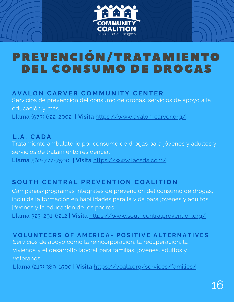

## PREVENCIÓN/TRATAMIENTO DEL CONSUMO DE DROGAS

#### **AVALON CARVER COMMUNITY CENTER**

Servicios de prevención del consumo de drogas, servicios de apoyo a la educación y más **Llama** (973) 622-2002 **| Visita** <https://www.avalon-carver.org/>

**L . A . CA D A** Tratamiento ambulatorio por consumo de drogas para jóvenes y adultos y servicios de tratamiento residencial **Llama** 562-777-7500 **| Visita** <https://www.lacada.com/>

#### SOUTH CENTRAL PREVENTION COALITION

Campañas/programas integrales de prevención del consumo de drogas, incluida la formación en habilidades para la vida para jóvenes y adultos jóvenes y la educación de los padres **Llama** [323-291-6212](tel:5555555555) **| Visita** <https://www.southcentralprevention.org/>

**VOLUNTEERS OF AMER[ICA](https://voala.org/)- POSITIVE ALTERNATIVES** 

Servicios de apoyo como la reincorporación, la recuperación, la vivienda y el desarrollo laboral para familias, jóvenes, adultos y veteranos

**Llama** (213) [389-1500](tel:213-389-1500) **| Visita** <https://voala.org/services/families/>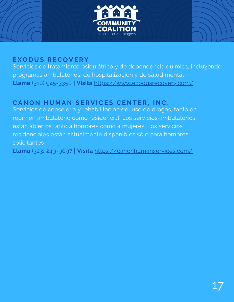

#### **E X O D U S R EC O V E R Y**

Servicios de tratamiento psiquiátrico y de dependencia química, incluyendo programas ambulatorios, de hospitalización y de salud mental **Llama** (310) [945-3350](tel:(310)%20945-3350) **| Visita** <https://www.exodusrecovery.com/>

#### $C$ ANON HUMAN SERVICES CENTER, INC.

Servicios de consejeria y rehabilitacion del uso de drogas, tanto en régimen ambulatorio como residencial. Los servicios ambulatorios están abiertos tanto a hombres como a mujeres. Los servicios residenciales están actualmente disponibles sólo para hombres solicitantes

**Llama** (323) [249-9097](tel:3232499097;) **| Visita** <https://canonhumanservices.com/>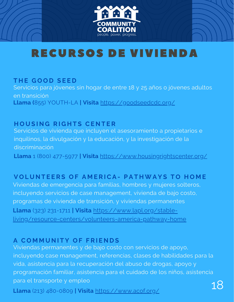

## RECURSOS DE VIVIENDA

#### **T H E G O O D S E E D**

Servicios para jóvenes sin hogar de entre 18 y 25 años o jóvenes adultos en transición **Llama [\(](tel:8559688452)**855) [YOUTH-LA](tel:8559688452) **| Visita** <https://goodseedcdc.org/>

#### $H$  **OUSING RIGHTS CENTER**

Servicios de vivienda que incluyen el asesoramiento a propietarios e inquilinos, la divulgación y la educación, y la investigación de la discriminación **Llama** 1 (800) 477-5977 **| Visita** <https://www.housingrightscenter.org/>

#### **VOLUNTEERS OF AMERICA- PATHWAYS TO HOME**

Viviendas de emergencia para familias, hombres y mujeres solteros, incluyendo servicios de case management, vivienda de bajo costo, programas de vivienda de transición, y viviendas permanentes **Llama** (323) 231-1711 **| Visita** https://www.lapl.org/stable[living/resource-centers/volunteers-america-pathway-home](https://www.lapl.org/stable-living/resource-centers/volunteers-america-pathway-home)

#### **A C O M M U N I T Y O F F R I E N D S**

Viviendas permanentes y de bajo costo con servicios de apoyo, incluyendo case management, referencias, clases de habilidades para la vida, asistencia para la recuperación del abuso de drogas, apoyo y programación familiar, asistencia para el cuidado de los niños, asistencia para el transporte y empleo

**Llama** (213) [480-0809](https://www.google.com/search?gs_ssp=eJzj4tFP1zc0MjOyKMjKtjRgtFI1qLAwSDZKsrAwSU4ySjG1tEiyMqgwTLRMNbOwMDQzSDS0SDM38RJLVEjOz80tzcssqVTIT1NIK8pMzUspBgAsfBar&q=a+community+of+friends&oq=a+comm&aqs=chrome.1.69i57j46i175i199i512j0i512l2j0i433i512j0i512j46i175i199i512j69i60.2421j0j4&sourceid=chrome&ie=UTF-8#) **| Visita** <https://www.acof.org/>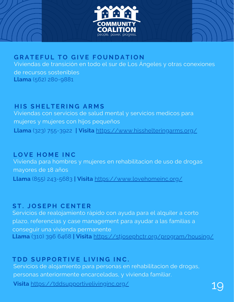



#### $B$  **GRATEFUL TO GIVE FOUNDATION**

Viviendas de transición en todo el sur de Los Ángeles y otras conexiones

de recursos sostenibles **Llama** (562) 280-9881

#### $HIS$  **SHELTERING ARMS**

Viviendas con servicios de salud mental y servicios medicos para mujeres y mujeres con hijos pequeños **Llama** (323) 755-3922 **| Visita** <https://www.hisshelteringarms.org/>

#### **L O V E H O M E I N C**

Vivienda para hombres y mujeres en rehabilitacion de uso de drogas mayores de 18 años **Llama** (855) [243-5683](tel:8559688452) **| Visita** <https://www.lovehomeinc.org/>

#### **S T . J O S E P H CE N T E R**

Servicios de [realojamiento](https://stjosephctr.org/program/housing/) rápido con ayuda para el alquiler a corto plazo, referencias y case management para ayudar a las familias a conseguir una vivienda permanente **Llama** (310) 396 6468 **| Visita** <https://stjosephctr.org/program/housing/>

#### $T$ *DD* **SUPPORTIVE LIVING INC.**

Servicios de alojamiento para personas en rehabilitacion de drogas, personas anteriormente encarceladas, y vivienda familiar.

**Visita** <https://tddsupportivelivinginc.org/>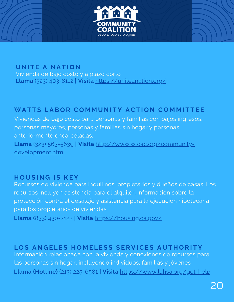

#### **U N I T E A N A T I O N**

Vivienda de bajo costo y a plazo corto **Llama** (323) 403-8112 **| Visita** <https://uniteanation.org/>

#### WATTS LABOR COMMUNITY ACTION COMMITTEE

Viviendas de bajo costo para personas y familias con bajos ingresos, personas mayores, personas y familias sin hogar y personas anteriormente encarceladas.

**Llama** (323) 563-5639 **| Visita** [http://www.wlcac.org/community](http://www.wlcac.org/community-development.htm)development.htm

#### **H O U S I N G I S K E Y**

Recursos de vivienda para inquilinos, propietarios y dueños de casas. Los recursos incluyen asistencia para el alquiler, información sobre la protección contra el desalojo y asistencia para la ejecución hipotecaria para los propietarios de viviendas

**Llama (**833) 430-2122 **| Visita** <https://housing.ca.gov/>

#### LOS ANGELES HOMELESS SERVICES AUTHORITY

Información relacionada con la vivienda y conexiones de recursos para las personas sin hogar, incluyendo individuos, familias y jóvenes **Llama (Hotline)** (213) [225-6581](tel:+12132256581) **| Visita** <https://www.lahsa.org/get-help>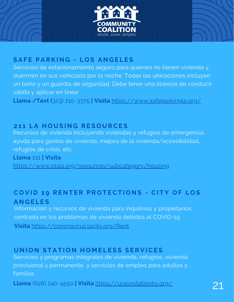



#### **S A F E P A R K I N G - L O S A N G E L E S**

Servicios de estacionamiento seguro para quienes no tienen vivienda y duermen en sus vehículos por la noche. Todas las ubicaciones incluyen un baño y un guardia de seguridad. Debe tener una licencia de conducir válida y aplicar en línea

**Llama /Text (**323) 210-3375 **| Visita** <https://www.safeparkingla.org/>

#### **2 1 1 L A H O U S I N G R E S O U RCE S**

Recursos de vivienda incluyendo viviendas y refugios de emergencia, ayuda para gastos de vivienda, mejora de la vivienda/accesibilidad, refugios de crisis, etc

**Llama** 211 **| Visita**

<https://www.211la.org/resources/subcategory/housing>

#### COVID 19 RENTER PROTECTIONS - CITY OF LOS **A N G E L E S**

Información y recursos de vivienda para inquilinos y propietarios, centrada en los problemas de vivienda debidos al COVID-19

**Visita** <https://coronavirus.lacity.org/Rent>

#### UNION STATION HOMELESS SERVICES

Servicios y programas integrales de vivienda, refugios, vivienda provisional y permanente, y servicios de empleo para adultos y familias

**Llama** (626) 240-4550 **| Visita** <https://unionstationhs.org/>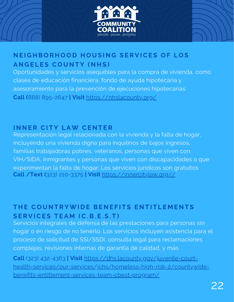



#### NEIGHBORHOOD HOUSING SERVICES OF LOS **A N G E L E S C O U N T Y ( N H S )**

Oportunidades y servicios asequibles para la compra de vivienda, como clases de educación financiera, fondo de ayuda hipotecaria y asesoramiento para la prevención de ejecuciones hipotecarias **Call (**888) 895-2647 **| Visit** <https://nhslacounty.org/>

#### **I N N E R CI T Y L AW CE N T E R**

Representación legal relacionada con la vivienda y la falta de hogar, incluyendo una vivienda digna para inquilinos de bajos ingresos, familias trabajadoras pobres, veteranos, personas que viven con VIH/SIDA, inmigrantes y personas que viven con discapacidades o que experimentan la falta de hogar. Los servicios jurídicos son gratuitos **Call /Text (**323) 210-3375 **| Visit** [https://innercitylaw.org//](https://innercitylaw.org/)

#### THE COUNTRYWIDE BENEFITS ENTITLEMENTS **S E R V ICE S T E A M (C. B . E . S . T )**

Servicios integrales de defensa de las prestaciones para personas sin hogar o en riesgo de no tenerlo. Los servicios incluyen asistencia para el proceso de solicitud de SSI/SSDI, consulta legal para reclamaciones complejas, revisiones internas de garantía de calidad, y más

**Call** (323) 432-4363 **| Visit** https://dhs.lacounty.gov/juvenile-court[health-services/our-services/jchs/homeless-high-risk-2/countywide](https://dhs.lacounty.gov/juvenile-court-health-services/our-services/jchs/homeless-high-risk-2/countywide-benefits-entitlement-services-team-cbest-program/)benefits-entitlement-services-team-cbest-program/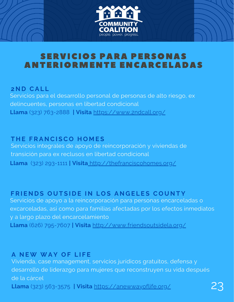

### SERVICIOS PARA PERSONAS ANTERIORMENTE ENCARCELADAS

#### **2 N D CA L L**

Servicios para el desarrollo personal de personas de alto riesgo, ex delincuentes, personas en libertad condicional **Llama** (323) 763-2888 **| Visita** <https://www.2ndcall.org/>

#### **T H E F R A N CI SC O H O M E S**

Servicios integrales de apoyo de reincorporación y viviendas de transición para ex reclusos en libertad condicional **Llama** (323) 293-1111 **| Visita** <http://thefranciscohomes.org/>

#### FRIENDS OUTSIDE IN LOS ANGELES COUNTY

Servicios de apoyo a la reincorporación para personas encarceladas o excarceladas, así como para familias afectadas por los efectos inmediatos y a largo plazo del encarcelamiento **Llama** (626) 795-7607 **| Visita** <http://www.friendsoutsidela.org/>

#### **A N EW WA Y O F L I F E**

Vivienda, case management, servicios jurídicos gratuitos, defensa y desarrollo de liderazgo para mujeres que reconstruyen su vida después de la cárcel

**Llama** (323) 563-3575 **| Visita** <https://anewwayoflife.org/>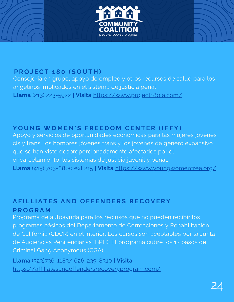

#### **P R O J ECT 1 8 0 ( S O U T H )**

Consejeria en grupo, apoyo de empleo y otros recursos de salud para los angelinos implicados en el sistema de justicia penal **Llama** (213) 223-5922 **| Visita** <https://www.project180la.com/>

#### YOUNG WOMEN'S FREEDOM CENTER (IFFY)

Apoyo y servicios de oportunidades económicas para las mujeres jóvenes cis y trans, los hombres jóvenes trans y los jóvenes de género expansivo que se han visto desproporcionadamente afectados por el encarcelamiento, los sistemas de justicia juvenil y penal. **Llama** (415) 703-8800 ext 215 **| Visita** <https://www.youngwomenfree.org/>

#### AFILLIATES AND OFFENDERS RECOVERY **P R O G R A M**

Programa de autoayuda para los reclusos que no pueden recibir los programas básicos del Departamento de Correcciones y Rehabilitación de California (CDCR) en el interior. Los cursos son aceptables por la Junta de Audiencias Penitenciarias (BPH). El programa cubre los 12 pasos de Criminal Gang Anonymous (CGA)

**Llama** (323)736-1183/ 626-239-8310 **| Visita** <https://affiliatesandoffendersrecoveryprogram.com/>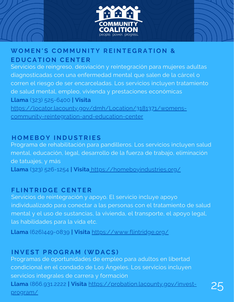



#### WOMEN'S COMMUNITY REINTEGRATION & **E D U CA T I O N CE N T E R**

Servicios de reingreso, desviación y reintegración para mujeres adultas diagnosticadas con una enfermedad mental que salen de la cárcel o corren el riesgo de ser encarceladas. Los servicios incluyen tratamiento de salud mental, empleo, vivienda y prestaciones económicas **Llama** (323) 525-6400 **| Visita** [https://locator.lacounty.gov/dmh/Location/3181371/womens](https://locator.lacounty.gov/dmh/Location/3181371/womens-community-reintegration-and-education-center)community-reintegration-and-education-center

#### **H O M EB O Y I N D U S T R I E S**

Programa de rehabilitación para pandilleros. Los servicios incluyen salud mental, educación, legal, desarrollo de la fuerza de trabajo, eliminación de tatuajes, y más

**Llama** (323) [526-1254](https://www.google.com/search?q=homeboyindustries&oq=homeboyindustries&aqs=chrome..69i57j46i10i175i199i512j0i10l2j46i10i175i199j69i60l3.258j0j4&sourceid=chrome&ie=UTF-8#) **| Visita** <https://homeboyindustries.org/>

#### **F L I N T R I D G E CE N T E R**

Servicios de reintegración y apoyo. El servicio incluye apoyo individualizado para conectar a las personas con el tratamiento de salud mental y el uso de sustancias, la vivienda, el transporte, el apoyo legal, las habilidades para la vida etc.

**Llama** (626)449-0839 **| Visita** <https://www.flintridge.org/>

#### **I N V E S T P R O G R A M (WD ACS )**

Programas de oportunidades de empleo para adultos en libertad condicional en el condado de Los Ángeles. Los servicios incluyen servicios integrales de carrera y formación **Llama** ([866.931.2222](tel://18669312222) **| Visita** [https://probation.lacounty.gov/invest](https://probation.lacounty.gov/invest-program/)program/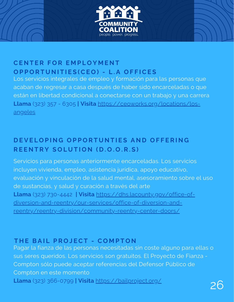

#### **CE N T E R F O R E M P L O Y M E N T** OPPORTUNITIES(CEO) - L.A OFFICES

Los servicios integrales de empleo y formación para las personas que acaban de regresar a casa después de haber sido encarceladas o que están en libertad condicional a conectarse con un trabajo y una carrera **Llama** [\(323\)](tel:+12137447000) 357 - 6305 **| Visita** [https://ceoworks.org/locations/los](https://ceoworks.org/locations/los-angeles)angeles

#### DEVELOPING OPPORTUNTIES AND OFFERING **REENTRY SOLUTION (D.O.O.R.S)**

Servicios para personas anteriormente encarceladas. Los servicios incluyen vivienda, empleo, asistencia jurídica, apoyo educativo, evaluación y vinculación de la salud mental, asesoramiento sobre el uso de sustancias, y salud y curación a través del arte **Llama** (323) 730-4442 **| Visita** https://dhs.lacounty.gov/office-of[diversion-and-reentry/our-services/office-of-diversion-and](https://dhs.lacounty.gov/office-of-diversion-and-reentry/our-services/office-of-diversion-and-reentry/reentry-division/community-reentry-center-doors/)reentry/reentry-division/community-reentry-center-doors/

#### **T H E BA I L P R O J ECT - C O M P T O N**

Pagar la fianza de las personas necesitadas sin coste alguno para ellas o sus seres queridos. Los servicios son gratuitos. El Proyecto de Fianza - Compton sólo puede aceptar referencias del Defensor Público de Compton en este momento **Llama** (323) [366-0799](tel:+12137447000) **<sup>|</sup> Visita** <https://bailproject.org/> 26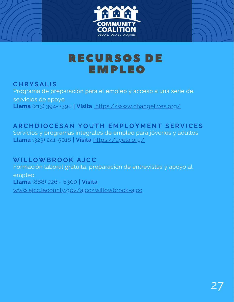



## RECURSOS DE EMPLEO

#### **C H R Y S A L I S** Programa de preparación para el empleo y acceso a una serie de servicios de apoyo **Llama** (213) 394-2390 **| Visita** <https://www.changelives.org/>

#### ARCHDIOCESAN YOUTH EMPLOYMENT SERV[ICE](https://ayela.org/)S Servicios y programas integrales de empleo para jóvenes y adultos **Llama** (323) 241-5016 **| Visita** <https://ayela.org/>

**WI L L OWB R O O K A JCC** Formación laboral gratuita, preparación de entrevistas y apoyo al empleo **Llama** (888) 226 - 6300 **| Visita**

[www.ajcc.lacounty.gov/ajcc/willowbrook-ajcc](http://www.ajcc.lacounty.gov/ajcc/willowbrook-ajcc)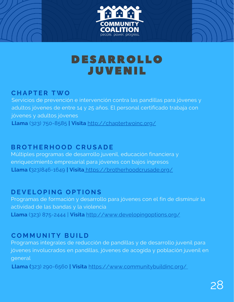



## DESARROLLO JUVENIL

#### **C H A P T E R TWO**

Servicios de prevención e intervención contra las pandillas para jóvenes y adultos jóvenes de entre 14 y 25 años. El personal certificado trabaja con jóvenes y adultos jóvenes **Llama** (323) [750-8585](https://www.google.com/search?q=chapter+two+inc&oq=chapter+two+inc&aqs=chrome.0.0i355i512j46i175i199i512j0i22i30j0i10i22i30l2j69i60l2.2235j0j4&sourceid=chrome&ie=UTF-8#) **| Visita** <http://chaptertwoinc.org/>

#### **BR O T H E R H O O D CR U S A D E**

Múltiples programas de desarrollo juvenil, educación financiera y enriquecimiento empresarial para jóvenes con bajos ingresos **Llama (**323)846-1649 **| Visita** <https://brotherhoodcrusade.org/>

#### **D E V E L O P I N G O P T I O N S**

Programas de formación y desarrollo para jóvenes con el fin de disminuir la actividad de las bandas y la violencia **Llama** (323) [875-2444](https://www.google.com/search?sxsrf=AOaemvKdqHIaTME6RgtTTPDUnM4ZbtfktA:1636501455664&q=developing+options+developing+options+los+angeles+phone&ludocid=5596998455209983192&sa=X&ved=2ahUKEwjlp8H_uoz0AhViNn0KHVQJCxoQ6BN6BAg_EAI&biw=908&bih=969&dpr=2#) | **[Visita](http://www.developingoptions.org/)** <http://www.developingoptions.org/>

#### **C O M M U N I T Y B U I L D**

Programas integrales de reducción de pandillas y de desarrollo juvenil para jóvenes involucrados en pandillas, jóvenes de acogida y población juvenil en general

**Llama (**323) 290-6560 **| Visita** <https://www.communitybuildinc.org/>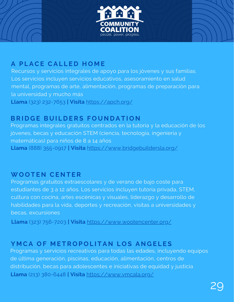



#### **A P L ACE CA L L E D H O M E**

Recursos y servicios integrales de apoyo para los jóvenes y sus familias. Los servicios incluyen servicios educativos, asesoramiento en salud mental, programas de arte, alimentación, programas de preparación para la universidad y mucho más **Llama** (323) 232-7653 **| Visita** <https://apch.org/>

#### **BR I D G E B U I L D E R S F O U N D A T I O N**

Programas integrales gratuitos centrados en la tutoría y la educación de los jóvenes, becas y educación STEM (ciencia, tecnología, ingeniería y matemáticas) para niños de 8 a 14 años **Llama** (888) 355-0917 **| Visita** <https://www.bridgebuildersla.org/>

#### **WO O T E N CE N T E R**

Programas gratuitos extraescolares y de verano de bajo coste para estudiantes de 3 a 12 años. Los servicios incluyen tutoría privada, STEM, cultura con cocina, artes escénicas y visuales, liderazgo y desarrollo de habilidades para la vida, deportes y recreación, visitas a universidades y becas, excursiones

**[Llama](http://www.developingoptions.org/)** (323) [756-7203](http://www.developingoptions.org/) **| [Visita](http://www.developingoptions.org/)** <https://www.wootencenter.org/>

#### YMCA OF METROPOLITAN LOS ANGELES

Programas y servicios recreativos para todas las edades, incluyendo equipos de última generación, piscinas, educación, alimentación, centros de distribución, becas para adolescentes e iniciativas de equidad y justicia **Llama** (213) [380-6448](https://www.google.com/search?q=ymca+of+metropolitan+los+angeles&oq=YMCA+OF+METROPOLITAN+LOS+ANGELES&aqs=chrome.0.0i355i512j46i175i199i512j0i512l2j0i22i30l2j69i60.287j0j4&sourceid=chrome&ie=UTF-8#) **| Visita** <https://www.ymcala.org/>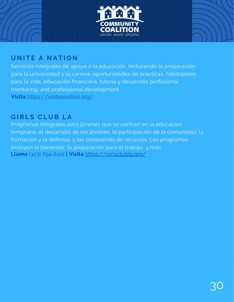

#### **U N I T E A N A T I O N**

Servicios integrales de apoyo a la educación, incluyendo la preparación para la universidad y la carrera, oportunidades de prácticas, habilidades para la vida, educación financiera, tutoría y desarrollo profesional mentoring, and professional development **Visita** <https://uniteanation.org/>

#### **G I R L S CL U B L A**

Programas integrales para jóvenes que se centran en la educación temprana, el desarrollo de los jóvenes, la participación de la comunidad, la formación y la defensa, y las conexiones de recursos. Los programas incluyen el bienestar, la preparación para el trabajo, y más **[Llama](http://www.developingoptions.org/)** (323) [754-2122](http://www.developingoptions.org/) **| [Visita](http://www.developingoptions.org/)** <https://girlsclubla.org/>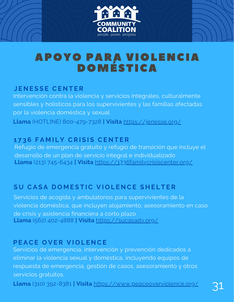

## APOYO PARA VIOLENCIA DOMÉSTICA

#### **J E N E S S E CE N T E R**

Intervención contra la violencia y servicios integrales, culturalmente sensibles y holísticos para los supervivientes y las familias afectadas por la violencia doméstica y sexual **Llama** (HOTLINE) 800-479-7328 **| Visita** <https://jenesse.org/>

#### **1 7 3 6 F A M I L Y CR I S I S CE N T E R**

Refugio de emergencia gratuito y refugio de transición que incluye el desarrollo de un plan de servicio integral e individualizado **Llama** (213) 745-6434 **| Visita** <https://1736familycrisiscenter.org/>

#### SU CASA DOMESTIC VIOLENCE SHELTER

Servicios de acogida y ambulatorios para supervivientes de la violencia doméstica, que incluyen alojamiento, asesoramiento en caso de crisis y asistencia financiera a corto plazo **Llama** (562) 402-4888 **| Visita** <https://sucasadv.org/>

#### **PEACE OVER VIOLENCE**

Servicios de emergencia, intervención y prevención dedicados a eliminar la violencia sexual y doméstica, incluyendo equipos de respuesta de emergencia, gestión de casos, asesoramiento y otros servicios gratuitos

**Llama** (310) 392-8381 **| Visita** <https://www.peaceoverviolence.org/>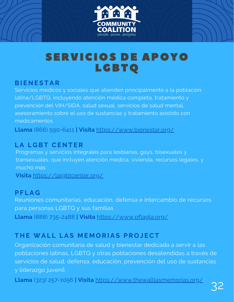



#### **BI E N E S T A R**

Servicios medicos y sociales que atienden principalmente a la población latina/LGBTQ, incluyendo atención médica completa, tratamiento y prevención del VIH/SIDA, salud sexual, servicios de salud mental, asesoramiento sobre el uso de sustancias y tratamiento asistido con medicamentos

**Llama** (866) [590-6411](tel:8665906411) **| Visita** <https://www.bienestar.org/>

#### **L A L G BT CE N T E R**

Programas y servicios integrales para lesbianas, gays, bisexuales y transexuales, que incluyen atención medica, vivienda, recursos legales, y mucho más

**Visita** <https://lalgbtcenter.org/>

#### **P F L A G**

Reuniones comunitarias, educación, defensa e intercambio de recursos para personas LGBTQ y sus familias **Llama** (888) 735-2488 **| Visita** <https://www.pflagla.org/>

#### **T H E WA L L L A S M E M O R I A S P R O J ECT**

Organización comunitaria de salud y bienestar dedicada a servir a las poblaciones latinas, LGBTQ y otras poblaciones desatendidas a través de servicios de salud, defensa, educación, prevención del uso de sustancias y liderazgo juvenil

**Llama** (323) 257-1056 **| Visita** <https://www.thewalllasmemorias.org/>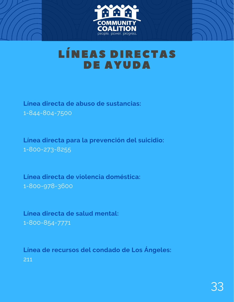

## LÍNEAS DIRECTAS DE AYUDA

**Línea directa de abuso de sustancias:** 1-844-804-7500

**Línea directa para la prevención del suicidio:** 1-800-273-8255

**Línea directa de violencia doméstica:** 1-800-978-3600

**Línea directa de salud mental:** 1-800-854-7771

**Línea de recursos del condado de Los Ángeles:** 211